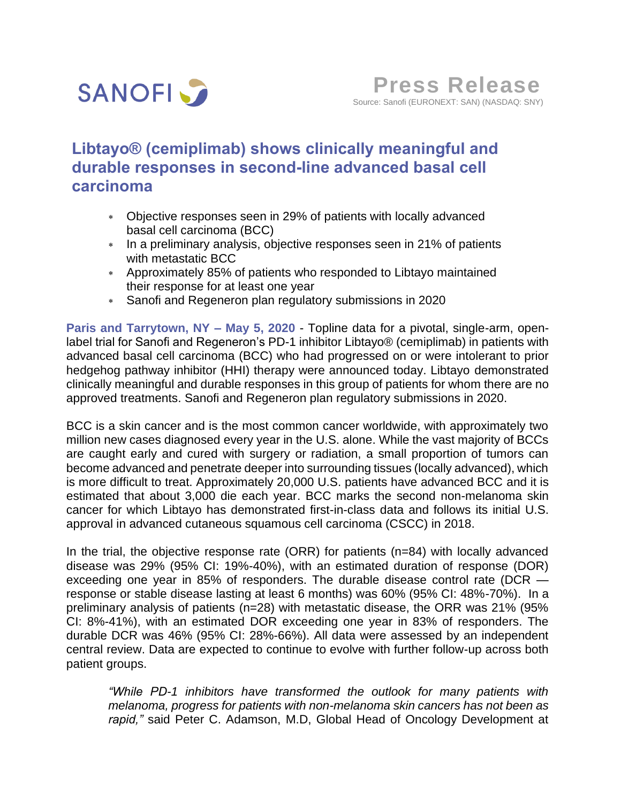

# **Libtayo® (cemiplimab) shows clinically meaningful and durable responses in second-line advanced basal cell carcinoma**

- Objective responses seen in 29% of patients with locally advanced basal cell carcinoma (BCC)
- \* In a preliminary analysis, objective responses seen in 21% of patients with metastatic BCC
- Approximately 85% of patients who responded to Libtayo maintained their response for at least one year
- Sanofi and Regeneron plan regulatory submissions in 2020

**Paris and Tarrytown, NY – May 5, 2020** - Topline data for a pivotal, single-arm, openlabel trial for Sanofi and Regeneron's PD-1 inhibitor Libtayo® (cemiplimab) in patients with advanced basal cell carcinoma (BCC) who had progressed on or were intolerant to prior hedgehog pathway inhibitor (HHI) therapy were announced today. Libtayo demonstrated clinically meaningful and durable responses in this group of patients for whom there are no approved treatments. Sanofi and Regeneron plan regulatory submissions in 2020.

BCC is a skin cancer and is the most common cancer worldwide, with approximately two million new cases diagnosed every year in the U.S. alone. While the vast majority of BCCs are caught early and cured with surgery or radiation, a small proportion of tumors can become advanced and penetrate deeper into surrounding tissues (locally advanced), which is more difficult to treat. Approximately 20,000 U.S. patients have advanced BCC and it is estimated that about 3,000 die each year. BCC marks the second non-melanoma skin cancer for which Libtayo has demonstrated first-in-class data and follows its initial U.S. approval in advanced cutaneous squamous cell carcinoma (CSCC) in 2018.

In the trial, the objective response rate (ORR) for patients (n=84) with locally advanced disease was 29% (95% CI: 19%-40%), with an estimated duration of response (DOR) exceeding one year in 85% of responders. The durable disease control rate (DCR  $$ response or stable disease lasting at least 6 months) was 60% (95% CI: 48%-70%). In a preliminary analysis of patients (n=28) with metastatic disease, the ORR was 21% (95% CI: 8%-41%), with an estimated DOR exceeding one year in 83% of responders. The durable DCR was 46% (95% CI: 28%-66%). All data were assessed by an independent central review. Data are expected to continue to evolve with further follow-up across both patient groups.

*"While PD-1 inhibitors have transformed the outlook for many patients with melanoma, progress for patients with non-melanoma skin cancers has not been as rapid,"* said Peter C. Adamson, M.D, Global Head of Oncology Development at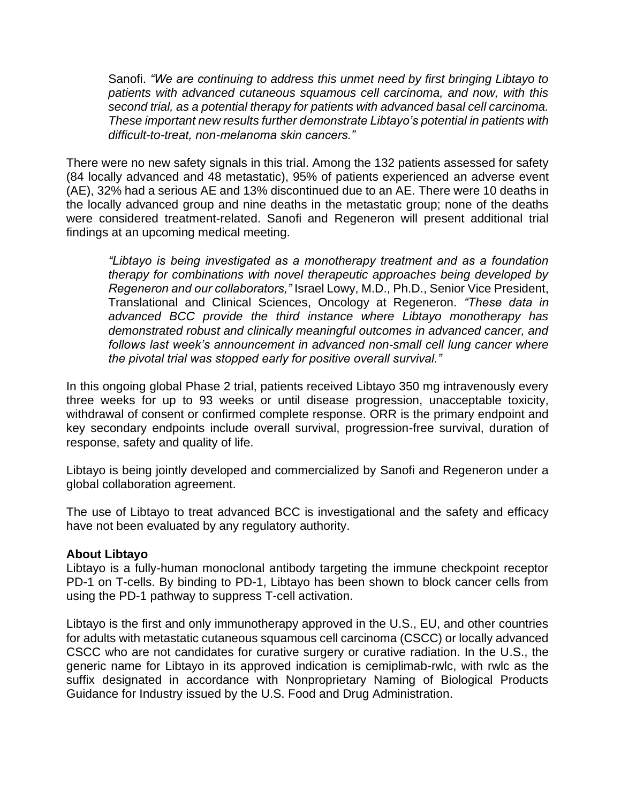Sanofi. *"We are continuing to address this unmet need by first bringing Libtayo to patients with advanced cutaneous squamous cell carcinoma, and now, with this second trial, as a potential therapy for patients with advanced basal cell carcinoma. These important new results further demonstrate Libtayo's potential in patients with difficult-to-treat, non-melanoma skin cancers."*

There were no new safety signals in this trial. Among the 132 patients assessed for safety (84 locally advanced and 48 metastatic), 95% of patients experienced an adverse event (AE), 32% had a serious AE and 13% discontinued due to an AE. There were 10 deaths in the locally advanced group and nine deaths in the metastatic group; none of the deaths were considered treatment-related. Sanofi and Regeneron will present additional trial findings at an upcoming medical meeting.

*"Libtayo is being investigated as a monotherapy treatment and as a foundation therapy for combinations with novel therapeutic approaches being developed by Regeneron and our collaborators,"* Israel Lowy, M.D., Ph.D., Senior Vice President, Translational and Clinical Sciences, Oncology at Regeneron. *"These data in advanced BCC provide the third instance where Libtayo monotherapy has demonstrated robust and clinically meaningful outcomes in advanced cancer, and*  follows last week's announcement in advanced non-small cell lung cancer where *the pivotal trial was stopped early for positive overall survival."*

In this ongoing global Phase 2 trial, patients received Libtayo 350 mg intravenously every three weeks for up to 93 weeks or until disease progression, unacceptable toxicity, withdrawal of consent or confirmed complete response. ORR is the primary endpoint and key secondary endpoints include overall survival, progression-free survival, duration of response, safety and quality of life.

Libtayo is being jointly developed and commercialized by Sanofi and Regeneron under a global collaboration agreement.

The use of Libtayo to treat advanced BCC is investigational and the safety and efficacy have not been evaluated by any regulatory authority.

## **About Libtayo**

Libtayo is a fully-human monoclonal antibody targeting the immune checkpoint receptor PD-1 on T-cells. By binding to PD-1, Libtayo has been shown to block cancer cells from using the PD-1 pathway to suppress T-cell activation.

Libtayo is the first and only immunotherapy approved in the U.S., EU, and other countries for adults with metastatic cutaneous squamous cell carcinoma (CSCC) or locally advanced CSCC who are not candidates for curative surgery or curative radiation. In the U.S., the generic name for Libtayo in its approved indication is cemiplimab-rwlc, with rwlc as the suffix designated in accordance with Nonproprietary Naming of Biological Products Guidance for Industry issued by the U.S. Food and Drug Administration.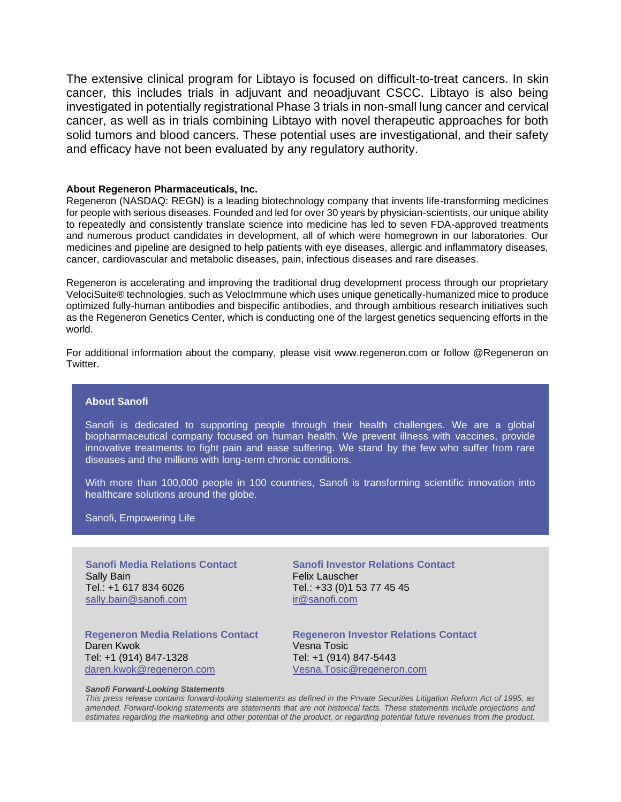The extensive clinical program for Libtayo is focused on difficult-to-treat cancers. In skin cancer, this includes trials in adjuvant and neoadjuvant CSCC. Libtayo is also being investigated in potentially registrational Phase 3 trials in non-small lung cancer and cervical cancer, as well as in trials combining Libtayo with novel therapeutic approaches for both solid tumors and blood cancers. These potential uses are investigational, and their safety and efficacy have not been evaluated by any regulatory authority.

### **About Regeneron Pharmaceuticals, Inc.**

Regeneron (NASDAQ: REGN) is a leading biotechnology company that invents life-transforming medicines for people with serious diseases. Founded and led for over 30 years by physician-scientists, our unique ability to repeatedly and consistently translate science into medicine has led to seven FDA-approved treatments and numerous product candidates in development, all of which were homegrown in our laboratories. Our medicines and pipeline are designed to help patients with eye diseases, allergic and inflammatory diseases, cancer, cardiovascular and metabolic diseases, pain, infectious diseases and rare diseases.

Regeneron is accelerating and improving the traditional drug development process through our proprietary VelociSuite® technologies, such as VelocImmune which uses unique genetically-humanized mice to produce optimized fully-human antibodies and bispecific antibodies, and through ambitious research initiatives such as the Regeneron Genetics Center, which is conducting one of the largest genetics sequencing efforts in the world.

For additional information about the company, please visit www.regeneron.com or follow @Regeneron on Twitter.

## **About Sanofi**

Sanofi is dedicated to supporting people through their health challenges. We are a global biopharmaceutical company focused on human health. We prevent illness with vaccines, provide innovative treatments to fight pain and ease suffering. We stand by the few who suffer from rare diseases and the millions with long-term chronic conditions.

With more than 100,000 people in 100 countries, Sanofi is transforming scientific innovation into healthcare solutions around the globe.

Sanofi, Empowering Life

**Sanofi Media Relations Contact** Sally Bain Tel.: +1 617 834 6026 sally.bai[n@sanofi.com](mailto:mr@sanofi.com)

**Sanofi Investor Relations Contact** Felix Lauscher Tel.: +33 (0)1 53 77 45 45 [ir@sanofi.com](mailto:ir@sanofi.com)

**Regeneron Media Relations Contact** Daren Kwok Tel: +1 (914) 847-1328 [daren.kwok@regeneron.com](mailto:daren.kwok@regeneron.com)

**Regeneron Investor Relations Contact** Vesna Tosic Tel: +1 (914) 847-5443 [Vesna.Tosic@regeneron.com](mailto:Vesna.Tosic@regeneron.com)

#### *Sanofi Forward-Looking Statements*

*This press release contains forward-looking statements as defined in the Private Securities Litigation Reform Act of 1995, as amended. Forward-looking statements are statements that are not historical facts. These statements include projections and estimates regarding the marketing and other potential of the product, or regarding potential future revenues from the product.*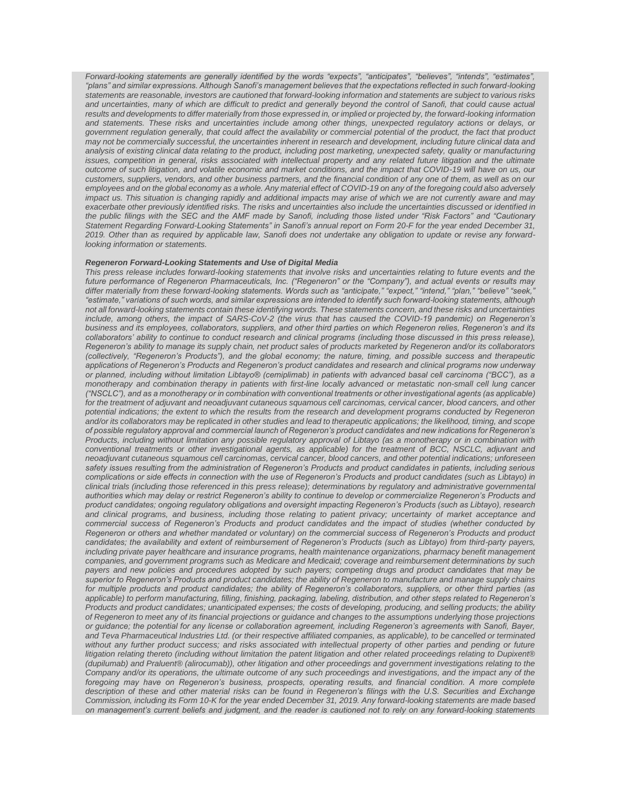*Forward-looking statements are generally identified by the words "expects", "anticipates", "believes", "intends", "estimates", "plans" and similar expressions. Although Sanofi's management believes that the expectations reflected in such forward-looking statements are reasonable, investors are cautioned that forward-looking information and statements are subject to various risks and uncertainties, many of which are difficult to predict and generally beyond the control of Sanofi, that could cause actual results and developments to differ materially from those expressed in, or implied or projected by, the forward-looking information and statements. These risks and uncertainties include among other things, unexpected regulatory actions or delays, or government regulation generally, that could affect the availability or commercial potential of the product, the fact that product may not be commercially successful, the uncertainties inherent in research and development, including future clinical data and analysis of existing clinical data relating to the product, including post marketing, unexpected safety, quality or manufacturing*  issues, competition in general, risks associated with intellectual property and any related future litigation and the ultimate *outcome of such litigation, and volatile economic and market conditions, and the impact that COVID-19 will have on us, our customers, suppliers, vendors, and other business partners, and the financial condition of any one of them, as well as on our employees and on the global economy as a whole. Any material effect of COVID-19 on any of the foregoing could also adversely impact us. This situation is changing rapidly and additional impacts may arise of which we are not currently aware and may exacerbate other previously identified risks. The risks and uncertainties also include the uncertainties discussed or identified in the public filings with the SEC and the AMF made by Sanofi, including those listed under "Risk Factors" and "Cautionary Statement Regarding Forward-Looking Statements" in Sanofi's annual report on Form 20-F for the year ended December 31, 2019. Other than as required by applicable law, Sanofi does not undertake any obligation to update or revise any forwardlooking information or statements.*

#### *Regeneron Forward-Looking Statements and Use of Digital Media*

*This press release includes forward-looking statements that involve risks and uncertainties relating to future events and the future performance of Regeneron Pharmaceuticals, Inc. ("Regeneron" or the "Company"), and actual events or results may differ materially from these forward-looking statements. Words such as "anticipate," "expect," "intend," "plan," "believe" "seek," "estimate," variations of such words, and similar expressions are intended to identify such forward-looking statements, although not all forward-looking statements contain these identifying words. These statements concern, and these risks and uncertainties include, among others, the impact of SARS-CoV-2 (the virus that has caused the COVID-19 pandemic) on Regeneron's business and its employees, collaborators, suppliers, and other third parties on which Regeneron relies, Regeneron's and its collaborators' ability to continue to conduct research and clinical programs (including those discussed in this press release), Regeneron's ability to manage its supply chain, net product sales of products marketed by Regeneron and/or its collaborators (collectively, "Regeneron's Products"), and the global economy; the nature, timing, and possible success and therapeutic applications of Regeneron's Products and Regeneron's product candidates and research and clinical programs now underway or planned, including without limitation Libtayo® (cemiplimab) in patients with advanced basal cell carcinoma ("BCC"), as a monotherapy and combination therapy in patients with first-line locally advanced or metastatic non-small cell lung cancer ("NSCLC"), and as a monotherapy or in combination with conventional treatments or other investigational agents (as applicable) for the treatment of adjuvant and neoadjuvant cutaneous squamous cell carcinomas, cervical cancer, blood cancers, and other potential indications; the extent to which the results from the research and development programs conducted by Regeneron and/or its collaborators may be replicated in other studies and lead to therapeutic applications; the likelihood, timing, and scope of possible regulatory approval and commercial launch of Regeneron's product candidates and new indications for Regeneron's Products, including without limitation any possible regulatory approval of Libtayo (as a monotherapy or in combination with conventional treatments or other investigational agents, as applicable) for the treatment of BCC, NSCLC, adjuvant and neoadjuvant cutaneous squamous cell carcinomas, cervical cancer, blood cancers, and other potential indications; unforeseen safety issues resulting from the administration of Regeneron's Products and product candidates in patients, including serious complications or side effects in connection with the use of Regeneron's Products and product candidates (such as Libtayo) in clinical trials (including those referenced in this press release); determinations by regulatory and administrative governmental authorities which may delay or restrict Regeneron's ability to continue to develop or commercialize Regeneron's Products and product candidates; ongoing regulatory obligations and oversight impacting Regeneron's Products (such as Libtayo), research and clinical programs, and business, including those relating to patient privacy; uncertainty of market acceptance and commercial success of Regeneron's Products and product candidates and the impact of studies (whether conducted by Regeneron or others and whether mandated or voluntary) on the commercial success of Regeneron's Products and product candidates; the availability and extent of reimbursement of Regeneron's Products (such as Libtayo) from third-party payers,*  including private payer healthcare and insurance programs, health maintenance organizations, pharmacy benefit management *companies, and government programs such as Medicare and Medicaid; coverage and reimbursement determinations by such payers and new policies and procedures adopted by such payers; competing drugs and product candidates that may be superior to Regeneron's Products and product candidates; the ability of Regeneron to manufacture and manage supply chains for multiple products and product candidates; the ability of Regeneron's collaborators, suppliers, or other third parties (as applicable) to perform manufacturing, filling, finishing, packaging, labeling, distribution, and other steps related to Regeneron's Products and product candidates; unanticipated expenses; the costs of developing, producing, and selling products; the ability of Regeneron to meet any of its financial projections or guidance and changes to the assumptions underlying those projections or guidance; the potential for any license or collaboration agreement, including Regeneron's agreements with Sanofi, Bayer, and Teva Pharmaceutical Industries Ltd. (or their respective affiliated companies, as applicable), to be cancelled or terminated*  without any further product success; and risks associated with intellectual property of other parties and pending or future *litigation relating thereto (including without limitation the patent litigation and other related proceedings relating to Dupixent® (dupilumab) and Praluent® (alirocumab)), other litigation and other proceedings and government investigations relating to the Company and/or its operations, the ultimate outcome of any such proceedings and investigations, and the impact any of the foregoing may have on Regeneron's business, prospects, operating results, and financial condition. A more complete description of these and other material risks can be found in Regeneron's filings with the U.S. Securities and Exchange Commission, including its Form 10-K for the year ended December 31, 2019. Any forward-looking statements are made based on management's current beliefs and judgment, and the reader is cautioned not to rely on any forward-looking statements*